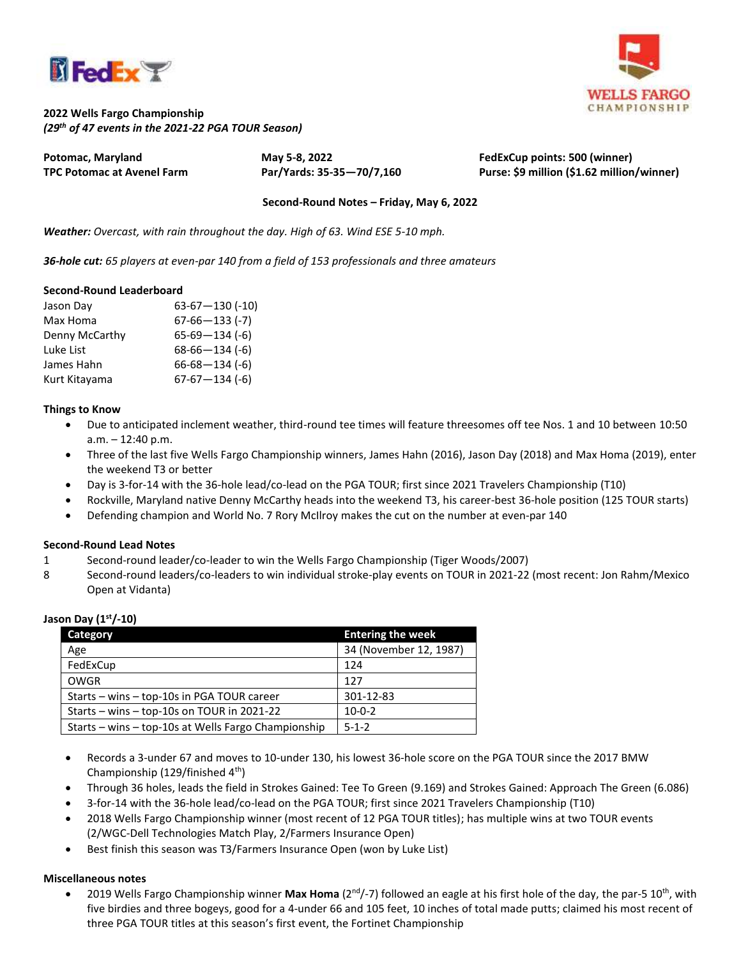



# **2022 Wells Fargo Championship** *(29 th of 47 events in the 2021-22 PGA TOUR Season)*

**Potomac, Maryland May 5-8, 2022 FedExCup points: 500 (winner)**

**TPC Potomac at Avenel Farm Par/Yards: 35-35—70/7,160 Purse: \$9 million (\$1.62 million/winner)**

## **Second-Round Notes – Friday, May 6, 2022**

*Weather: Overcast, with rain throughout the day. High of 63. Wind ESE 5-10 mph.*

*36-hole cut: 65 players at even-par 140 from a field of 153 professionals and three amateurs*

### **Second-Round Leaderboard**

| Jason Day      | $63-67-130$ (-10)    |
|----------------|----------------------|
| Max Homa       | $67-66-133$ (-7)     |
| Denny McCarthy | $65-69-134(-6)$      |
| Luke List      | $68-66-134$ (-6)     |
| James Hahn     | $66 - 68 - 134 (-6)$ |
| Kurt Kitayama  | $67-67-134$ (-6)     |

## **Things to Know**

- Due to anticipated inclement weather, third-round tee times will feature threesomes off tee Nos. 1 and 10 between 10:50 a.m. – 12:40 p.m.
- Three of the last five Wells Fargo Championship winners, James Hahn (2016), Jason Day (2018) and Max Homa (2019), enter the weekend T3 or better
- Day is 3-for-14 with the 36-hole lead/co-lead on the PGA TOUR; first since 2021 Travelers Championship (T10)
- Rockville, Maryland native Denny McCarthy heads into the weekend T3, his career-best 36-hole position (125 TOUR starts)
- Defending champion and World No. 7 Rory McIlroy makes the cut on the number at even-par 140

## **Second-Round Lead Notes**

- 1 Second-round leader/co-leader to win the Wells Fargo Championship (Tiger Woods/2007)
- 8 Second-round leaders/co-leaders to win individual stroke-play events on TOUR in 2021-22 (most recent: Jon Rahm/Mexico Open at Vidanta)

| Category                                            | <b>Entering the week</b> |
|-----------------------------------------------------|--------------------------|
| Age                                                 | 34 (November 12, 1987)   |
| FedExCup                                            | 124                      |
| OWGR                                                | 127                      |
| Starts – wins – top-10s in PGA TOUR career          | 301-12-83                |
| Starts - wins - top-10s on TOUR in 2021-22          | $10-0-2$                 |
| Starts – wins – top-10s at Wells Fargo Championship | $5 - 1 - 2$              |

## **Jason Day (1st/-10)**

- Records a 3-under 67 and moves to 10-under 130, his lowest 36-hole score on the PGA TOUR since the 2017 BMW Championship (129/finished 4th)
- Through 36 holes, leads the field in Strokes Gained: Tee To Green (9.169) and Strokes Gained: Approach The Green (6.086)
- 3-for-14 with the 36-hole lead/co-lead on the PGA TOUR; first since 2021 Travelers Championship (T10)
- 2018 Wells Fargo Championship winner (most recent of 12 PGA TOUR titles); has multiple wins at two TOUR events (2/WGC-Dell Technologies Match Play, 2/Farmers Insurance Open)
- Best finish this season was T3/Farmers Insurance Open (won by Luke List)

## **Miscellaneous notes**

• 2019 Wells Fargo Championship winner Max Homa (2<sup>nd</sup>/-7) followed an eagle at his first hole of the day, the par-5 10<sup>th</sup>, with five birdies and three bogeys, good for a 4-under 66 and 105 feet, 10 inches of total made putts; claimed his most recent of three PGA TOUR titles at this season's first event, the Fortinet Championship